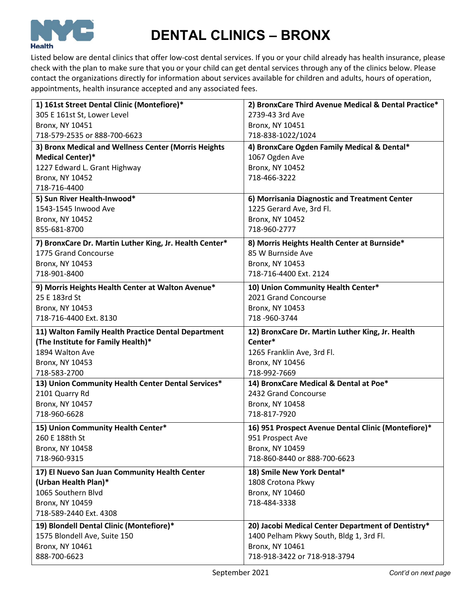

# **DENTAL CLINICS – BRONX**

Listed below are dental clinics that offer low-cost dental services. If you or your child already has health insurance, please check with the plan to make sure that you or your child can get dental services through any of the clinics below. Please contact the organizations directly for information about services available for children and adults, hours of operation, appointments, health insurance accepted and any associated fees.

| 1) 161st Street Dental Clinic (Montefiore)*             | 2) BronxCare Third Avenue Medical & Dental Practice* |
|---------------------------------------------------------|------------------------------------------------------|
| 305 E 161st St, Lower Level                             | 2739-43 3rd Ave                                      |
| <b>Bronx, NY 10451</b>                                  | Bronx, NY 10451                                      |
| 718-579-2535 or 888-700-6623                            | 718-838-1022/1024                                    |
| 3) Bronx Medical and Wellness Center (Morris Heights    | 4) BronxCare Ogden Family Medical & Dental*          |
| <b>Medical Center)*</b>                                 | 1067 Ogden Ave                                       |
| 1227 Edward L. Grant Highway                            | <b>Bronx, NY 10452</b>                               |
| <b>Bronx, NY 10452</b>                                  | 718-466-3222                                         |
| 718-716-4400                                            |                                                      |
| 5) Sun River Health-Inwood*                             | 6) Morrisania Diagnostic and Treatment Center        |
| 1543-1545 Inwood Ave                                    | 1225 Gerard Ave, 3rd Fl.                             |
| <b>Bronx, NY 10452</b>                                  | Bronx, NY 10452                                      |
| 855-681-8700                                            | 718-960-2777                                         |
| 7) BronxCare Dr. Martin Luther King, Jr. Health Center* | 8) Morris Heights Health Center at Burnside*         |
| 1775 Grand Concourse                                    | 85 W Burnside Ave                                    |
| <b>Bronx, NY 10453</b>                                  | <b>Bronx, NY 10453</b>                               |
| 718-901-8400                                            | 718-716-4400 Ext. 2124                               |
| 9) Morris Heights Health Center at Walton Avenue*       | 10) Union Community Health Center*                   |
| 25 E 183rd St                                           | 2021 Grand Concourse                                 |
| Bronx, NY 10453                                         | Bronx, NY 10453                                      |
| 718-716-4400 Ext. 8130                                  | 718-960-3744                                         |
| 11) Walton Family Health Practice Dental Department     | 12) BronxCare Dr. Martin Luther King, Jr. Health     |
|                                                         |                                                      |
| (The Institute for Family Health)*                      | Center*                                              |
| 1894 Walton Ave                                         | 1265 Franklin Ave, 3rd Fl.                           |
| Bronx, NY 10453                                         | Bronx, NY 10456                                      |
| 718-583-2700                                            | 718-992-7669                                         |
| 13) Union Community Health Center Dental Services*      | 14) BronxCare Medical & Dental at Poe*               |
| 2101 Quarry Rd                                          | 2432 Grand Concourse                                 |
| Bronx, NY 10457                                         | Bronx, NY 10458                                      |
| 718-960-6628                                            | 718-817-7920                                         |
| 15) Union Community Health Center*                      | 16) 951 Prospect Avenue Dental Clinic (Montefiore)*  |
| 260 E 188th St                                          | 951 Prospect Ave                                     |
| <b>Bronx, NY 10458</b>                                  | Bronx, NY 10459                                      |
| 718-960-9315                                            | 718-860-8440 or 888-700-6623                         |
| 17) El Nuevo San Juan Community Health Center           | 18) Smile New York Dental*                           |
|                                                         |                                                      |
| (Urban Health Plan)*<br>1065 Southern Blvd              | 1808 Crotona Pkwy<br>Bronx, NY 10460                 |
| <b>Bronx, NY 10459</b>                                  | 718-484-3338                                         |
| 718-589-2440 Ext. 4308                                  |                                                      |
| 19) Blondell Dental Clinic (Montefiore)*                | 20) Jacobi Medical Center Department of Dentistry*   |
| 1575 Blondell Ave, Suite 150                            | 1400 Pelham Pkwy South, Bldg 1, 3rd Fl.              |
| Bronx, NY 10461                                         | Bronx, NY 10461                                      |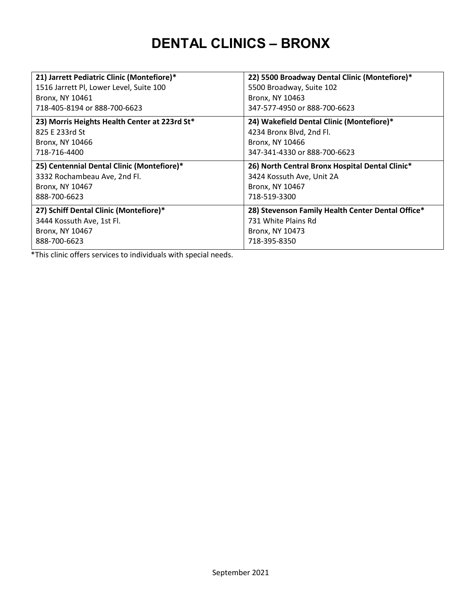### **DENTAL CLINICS – BRONX**

| 21) Jarrett Pediatric Clinic (Montefiore)*    | 22) 5500 Broadway Dental Clinic (Montefiore)*     |
|-----------------------------------------------|---------------------------------------------------|
| 1516 Jarrett Pl, Lower Level, Suite 100       | 5500 Broadway, Suite 102                          |
| Bronx, NY 10461                               | Bronx, NY 10463                                   |
| 718-405-8194 or 888-700-6623                  | 347-577-4950 or 888-700-6623                      |
| 23) Morris Heights Health Center at 223rd St* | 24) Wakefield Dental Clinic (Montefiore)*         |
| 825 E 233rd St                                | 4234 Bronx Blvd, 2nd Fl.                          |
| Bronx, NY 10466                               | Bronx, NY 10466                                   |
| 718-716-4400                                  | 347-341-4330 or 888-700-6623                      |
| 25) Centennial Dental Clinic (Montefiore)*    | 26) North Central Bronx Hospital Dental Clinic*   |
| 3332 Rochambeau Ave, 2nd Fl.                  | 3424 Kossuth Ave, Unit 2A                         |
| Bronx, NY 10467                               | Bronx, NY 10467                                   |
| 888-700-6623                                  | 718-519-3300                                      |
| 27) Schiff Dental Clinic (Montefiore)*        | 28) Stevenson Family Health Center Dental Office* |
| 3444 Kossuth Ave, 1st Fl.                     | 731 White Plains Rd                               |
| Bronx, NY 10467                               | Bronx, NY 10473                                   |
| 888-700-6623                                  | 718-395-8350                                      |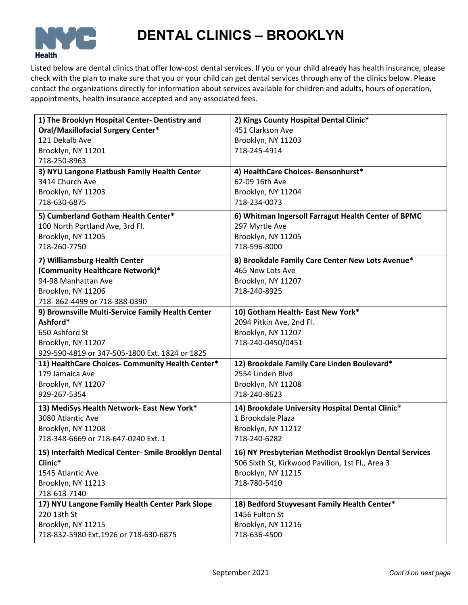

## **DENTAL CLINICS – BROOKLYN**

Listed below are dental clinics that offer low-cost dental services. If you or your child already has health insurance, please check with the plan to make sure that you or your child can get dental services through any of the clinics below. Please contact the organizations directly for information about services available for children and adults, hours of operation, appointments, health insurance accepted and any associated fees.

| 1) The Brooklyn Hospital Center- Dentistry and       | 2) Kings County Hospital Dental Clinic*                |
|------------------------------------------------------|--------------------------------------------------------|
| <b>Oral/Maxillofacial Surgery Center*</b>            | 451 Clarkson Ave                                       |
| 121 Dekalb Ave                                       | Brooklyn, NY 11203                                     |
| Brooklyn, NY 11201                                   | 718-245-4914                                           |
| 718-250-8963                                         |                                                        |
| 3) NYU Langone Flatbush Family Health Center         | 4) HealthCare Choices- Bensonhurst*                    |
| 3414 Church Ave                                      | 62-09 16th Ave                                         |
| Brooklyn, NY 11203                                   | Brooklyn, NY 11204                                     |
| 718-630-6875                                         | 718-234-0073                                           |
| 5) Cumberland Gotham Health Center*                  | 6) Whitman Ingersoll Farragut Health Center of BPMC    |
| 100 North Portland Ave, 3rd Fl.                      | 297 Myrtle Ave                                         |
| Brooklyn, NY 11205                                   | Brooklyn, NY 11205                                     |
| 718-260-7750                                         | 718-596-8000                                           |
| 7) Williamsburg Health Center                        | 8) Brookdale Family Care Center New Lots Avenue*       |
| (Community Healthcare Network)*                      | 465 New Lots Ave                                       |
| 94-98 Manhattan Ave                                  | Brooklyn, NY 11207                                     |
| Brooklyn, NY 11206                                   | 718-240-8925                                           |
| 718-862-4499 or 718-388-0390                         |                                                        |
| 9) Brownsville Multi-Service Family Health Center    | 10) Gotham Health- East New York*                      |
| Ashford*                                             | 2094 Pitkin Ave, 2nd Fl.                               |
| 650 Ashford St                                       | Brooklyn, NY 11207                                     |
| Brooklyn, NY 11207                                   | 718-240-0450/0451                                      |
| 929-590-4819 or 347-505-1800 Ext. 1824 or 1825       |                                                        |
| 11) HealthCare Choices- Community Health Center*     | 12) Brookdale Family Care Linden Boulevard*            |
| 179 Jamaica Ave                                      | 2554 Linden Blvd                                       |
| Brooklyn, NY 11207                                   | Brooklyn, NY 11208                                     |
| 929-267-5354                                         | 718-240-8623                                           |
| 13) MediSys Health Network- East New York*           | 14) Brookdale University Hospital Dental Clinic*       |
| 3080 Atlantic Ave                                    | 1 Brookdale Plaza                                      |
| Brooklyn, NY 11208                                   | Brooklyn, NY 11212                                     |
| 718-348-6669 or 718-647-0240 Ext. 1                  | 718-240-6282                                           |
| 15) Interfaith Medical Center- Smile Brooklyn Dental | 16) NY Presbyterian Methodist Brooklyn Dental Services |
| Clinic*                                              | 506 Sixth St, Kirkwood Pavilion, 1st Fl., Area 3       |
| 1545 Atlantic Ave                                    | Brooklyn, NY 11215                                     |
| Brooklyn, NY 11213                                   | 718-780-5410                                           |
| 718-613-7140                                         |                                                        |
| 17) NYU Langone Family Health Center Park Slope      | 18) Bedford Stuyvesant Family Health Center*           |
| 220 13th St                                          | 1456 Fulton St                                         |
| Brooklyn, NY 11215                                   | Brooklyn, NY 11216                                     |
| 718-832-5980 Ext.1926 or 718-630-6875                | 718-636-4500                                           |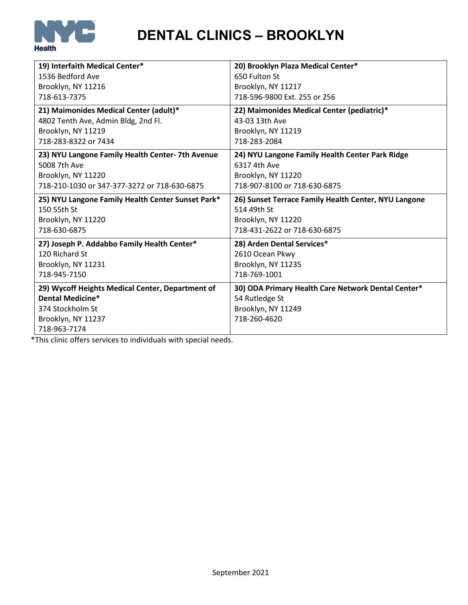

**DENTAL CLINICS – BROOKLYN**

| 19) Interfaith Medical Center*                    | 20) Brooklyn Plaza Medical Center*                   |
|---------------------------------------------------|------------------------------------------------------|
| 1536 Bedford Ave                                  | 650 Fulton St                                        |
|                                                   |                                                      |
| Brooklyn, NY 11216                                | Brooklyn, NY 11217                                   |
| 718-613-7375                                      | 718-596-9800 Ext. 255 or 256                         |
| 21) Maimonides Medical Center (adult)*            | 22) Maimonides Medical Center (pediatric)*           |
| 4802 Tenth Ave, Admin Bldg, 2nd Fl.               | 43-03 13th Ave                                       |
| Brooklyn, NY 11219                                | Brooklyn, NY 11219                                   |
| 718-283-8322 or 7434                              | 718-283-2084                                         |
|                                                   |                                                      |
| 23) NYU Langone Family Health Center- 7th Avenue  | 24) NYU Langone Family Health Center Park Ridge      |
| 5008 7th Ave                                      | 6317 4th Ave                                         |
| Brooklyn, NY 11220                                | Brooklyn, NY 11220                                   |
| 718-210-1030 or 347-377-3272 or 718-630-6875      | 718-907-8100 or 718-630-6875                         |
| 25) NYU Langone Family Health Center Sunset Park* | 26) Sunset Terrace Family Health Center, NYU Langone |
|                                                   |                                                      |
| 150 55th St                                       | 514 49th St                                          |
| Brooklyn, NY 11220                                |                                                      |
| 718-630-6875                                      | Brooklyn, NY 11220<br>718-431-2622 or 718-630-6875   |
|                                                   |                                                      |
| 27) Joseph P. Addabbo Family Health Center*       | 28) Arden Dental Services*                           |
| 120 Richard St                                    | 2610 Ocean Pkwy                                      |
| Brooklyn, NY 11231                                | Brooklyn, NY 11235                                   |
| 718-945-7150                                      | 718-769-1001                                         |
| 29) Wycoff Heights Medical Center, Department of  | 30) ODA Primary Health Care Network Dental Center*   |
| <b>Dental Medicine*</b>                           | 54 Rutledge St                                       |
| 374 Stockholm St                                  | Brooklyn, NY 11249                                   |
| Brooklyn, NY 11237                                | 718-260-4620                                         |
| 718-963-7174                                      |                                                      |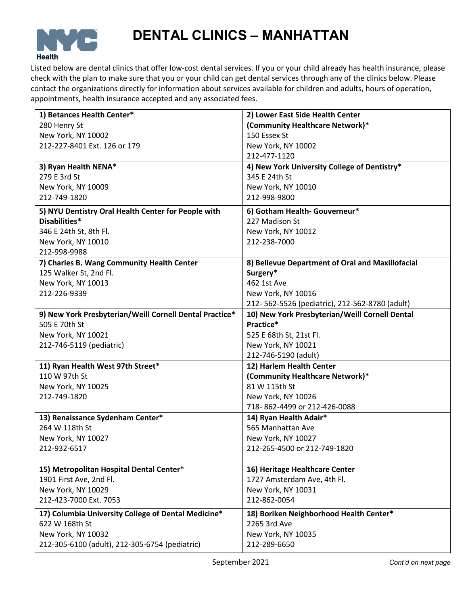

### **DENTAL CLINICS – MANHATTAN**

Listed below are dental clinics that offer low-cost dental services. If you or your child already has health insurance, please check with the plan to make sure that you or your child can get dental services through any of the clinics below. Please contact the organizations directly for information about services available for children and adults, hours of operation, appointments, health insurance accepted and any associated fees.

| 1) Betances Health Center*                              | 2) Lower East Side Health Center                 |
|---------------------------------------------------------|--------------------------------------------------|
| 280 Henry St                                            | (Community Healthcare Network)*                  |
| New York, NY 10002                                      | 150 Essex St                                     |
| 212-227-8401 Ext. 126 or 179                            | New York, NY 10002                               |
|                                                         | 212-477-1120                                     |
| 3) Ryan Health NENA*                                    | 4) New York University College of Dentistry*     |
| 279 E 3rd St                                            | 345 E 24th St                                    |
| New York, NY 10009                                      | New York, NY 10010                               |
| 212-749-1820                                            | 212-998-9800                                     |
| 5) NYU Dentistry Oral Health Center for People with     | 6) Gotham Health- Gouverneur*                    |
| Disabilities*                                           | 227 Madison St                                   |
| 346 E 24th St, 8th Fl.                                  | New York, NY 10012                               |
| New York, NY 10010                                      | 212-238-7000                                     |
| 212-998-9988                                            |                                                  |
| 7) Charles B. Wang Community Health Center              | 8) Bellevue Department of Oral and Maxillofacial |
| 125 Walker St, 2nd Fl.                                  | Surgery*                                         |
| New York, NY 10013                                      | 462 1st Ave                                      |
| 212-226-9339                                            | New York, NY 10016                               |
|                                                         | 212-562-5526 (pediatric), 212-562-8780 (adult)   |
| 9) New York Presbyterian/Weill Cornell Dental Practice* | 10) New York Presbyterian/Weill Cornell Dental   |
| 505 E 70th St                                           | Practice*                                        |
| New York, NY 10021                                      | 525 E 68th St, 21st Fl.                          |
| 212-746-5119 (pediatric)                                | New York, NY 10021                               |
|                                                         | 212-746-5190 (adult)                             |
| 11) Ryan Health West 97th Street*                       | 12) Harlem Health Center                         |
| 110 W 97th St                                           | (Community Healthcare Network)*                  |
| New York, NY 10025                                      | 81 W 115th St                                    |
| 212-749-1820                                            | New York, NY 10026                               |
|                                                         | 718-862-4499 or 212-426-0088                     |
| 13) Renaissance Sydenham Center*                        | 14) Ryan Health Adair*                           |
| 264 W 118th St                                          | 565 Manhattan Ave                                |
| New York, NY 10027                                      | New York, NY 10027                               |
| 212-932-6517                                            | 212-265-4500 or 212-749-1820                     |
|                                                         |                                                  |
| 15) Metropolitan Hospital Dental Center*                | 16) Heritage Healthcare Center                   |
| 1901 First Ave, 2nd Fl.                                 | 1727 Amsterdam Ave, 4th Fl.                      |
| New York, NY 10029                                      | New York, NY 10031                               |
| 212-423-7000 Ext. 7053                                  | 212-862-0054                                     |
| 17) Columbia University College of Dental Medicine*     | 18) Boriken Neighborhood Health Center*          |
| 622 W 168th St                                          | 2265 3rd Ave                                     |
|                                                         |                                                  |
| New York, NY 10032                                      | New York, NY 10035                               |
| 212-305-6100 (adult), 212-305-6754 (pediatric)          | 212-289-6650                                     |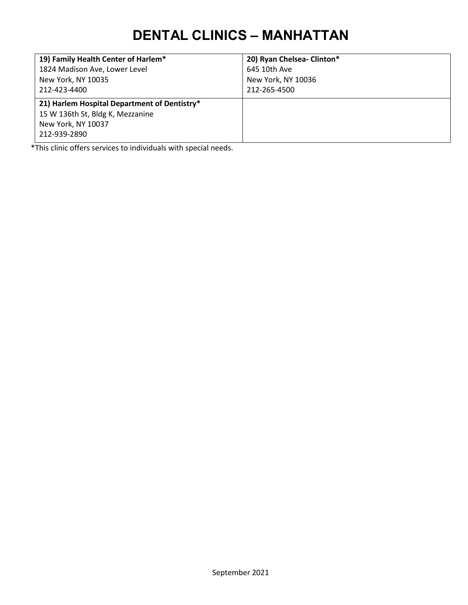### **DENTAL CLINICS – MANHATTAN**

| 19) Family Health Center of Harlem*          | 20) Ryan Chelsea- Clinton* |
|----------------------------------------------|----------------------------|
| 1824 Madison Ave, Lower Level                | 645 10th Ave               |
| New York, NY 10035                           | New York, NY 10036         |
| 212-423-4400                                 | 212-265-4500               |
| 21) Harlem Hospital Department of Dentistry* |                            |
| 15 W 136th St, Bldg K, Mezzanine             |                            |
| New York, NY 10037                           |                            |
| 212-939-2890                                 |                            |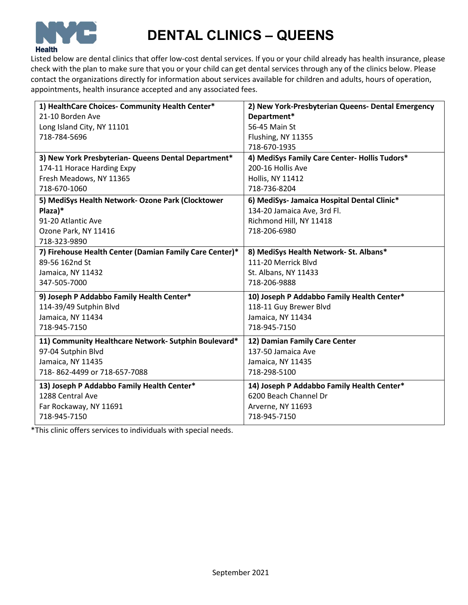

# **DENTAL CLINICS – QUEENS**

Listed below are dental clinics that offer low-cost dental services. If you or your child already has health insurance, please check with the plan to make sure that you or your child can get dental services through any of the clinics below. Please contact the organizations directly for information about services available for children and adults, hours of operation, appointments, health insurance accepted and any associated fees.

| 1) HealthCare Choices- Community Health Center*         | 2) New York-Presbyterian Queens- Dental Emergency |
|---------------------------------------------------------|---------------------------------------------------|
| 21-10 Borden Ave                                        | Department*                                       |
| Long Island City, NY 11101                              | 56-45 Main St                                     |
| 718-784-5696                                            | Flushing, NY 11355                                |
|                                                         | 718-670-1935                                      |
| 3) New York Presbyterian- Queens Dental Department*     | 4) MediSys Family Care Center- Hollis Tudors*     |
| 174-11 Horace Harding Expy                              | 200-16 Hollis Ave                                 |
| Fresh Meadows, NY 11365                                 | <b>Hollis, NY 11412</b>                           |
| 718-670-1060                                            | 718-736-8204                                      |
| 5) MediSys Health Network- Ozone Park (Clocktower       | 6) MediSys- Jamaica Hospital Dental Clinic*       |
| Plaza)*                                                 | 134-20 Jamaica Ave, 3rd Fl.                       |
| 91-20 Atlantic Ave                                      | Richmond Hill, NY 11418                           |
| Ozone Park, NY 11416                                    | 718-206-6980                                      |
| 718-323-9890                                            |                                                   |
| 7) Firehouse Health Center (Damian Family Care Center)* | 8) MediSys Health Network- St. Albans*            |
| 89-56 162nd St                                          | 111-20 Merrick Blvd                               |
| Jamaica, NY 11432                                       | St. Albans, NY 11433                              |
| 347-505-7000                                            | 718-206-9888                                      |
| 9) Joseph P Addabbo Family Health Center*               | 10) Joseph P Addabbo Family Health Center*        |
| 114-39/49 Sutphin Blvd                                  | 118-11 Guy Brewer Blvd                            |
| Jamaica, NY 11434                                       | Jamaica, NY 11434                                 |
| 718-945-7150                                            | 718-945-7150                                      |
| 11) Community Healthcare Network- Sutphin Boulevard*    | 12) Damian Family Care Center                     |
| 97-04 Sutphin Blvd                                      | 137-50 Jamaica Ave                                |
| Jamaica, NY 11435                                       | Jamaica, NY 11435                                 |
| 718-862-4499 or 718-657-7088                            | 718-298-5100                                      |
| 13) Joseph P Addabbo Family Health Center*              | 14) Joseph P Addabbo Family Health Center*        |
| 1288 Central Ave                                        | 6200 Beach Channel Dr                             |
| Far Rockaway, NY 11691                                  | Arverne, NY 11693                                 |
| 718-945-7150                                            | 718-945-7150                                      |